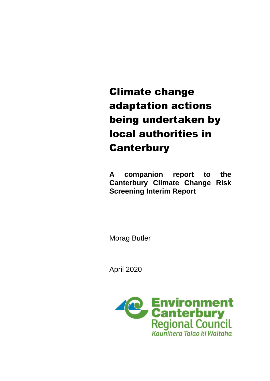# Climate change adaptation actions being undertaken by local authorities in **Canterbury**

**A companion report to the Canterbury Climate Change Risk Screening Interim Report** 

Morag Butler

April 2020

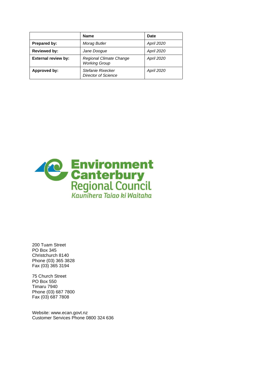|                            | <b>Name</b>                                     | <b>Date</b>       |
|----------------------------|-------------------------------------------------|-------------------|
| Prepared by:               | Morag Butler                                    | <b>April 2020</b> |
| <b>Reviewed by:</b>        | Jane Doogue                                     | <b>April 2020</b> |
| <b>External review by:</b> | Regional Climate Change<br><b>Working Group</b> | <b>April 2020</b> |
| Approved by:               | Stefanie Rixecker<br><b>Director of Science</b> | <b>April 2020</b> |



200 Tuam Street PO Box 345 Christchurch 8140 Phone (03) 365 3828 Fax (03) 365 3194

75 Church Street PO Box 550 Timaru 7940 Phone (03) 687 7800 Fax (03) 687 7808

Website: www.ecan.govt.nz Customer Services Phone 0800 324 636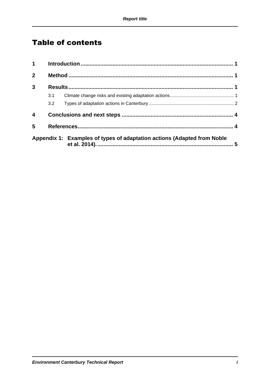## **Table of contents**

| $1 \quad \blacksquare$ |     |                                                                         |  |
|------------------------|-----|-------------------------------------------------------------------------|--|
| $\mathbf{2}$           |     |                                                                         |  |
| 3                      |     |                                                                         |  |
|                        | 3.1 |                                                                         |  |
|                        | 3.2 |                                                                         |  |
| 4                      |     |                                                                         |  |
| 5                      |     |                                                                         |  |
|                        |     | Appendix 1: Examples of types of adaptation actions (Adapted from Noble |  |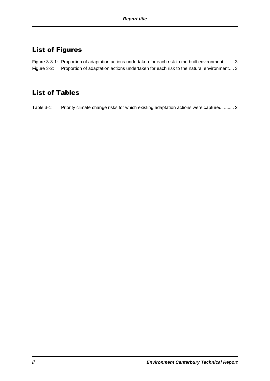### List of Figures

Figure 3-3-1: [Proportion of adaptation actions undertaken for each risk to the built environment](#page-8-0) ........ 3 Figure 3-2: [Proportion of adaptation actions undertaken for each risk to the natural environment....](#page-8-1) 3

#### List of Tables

Table 3-1: [Priority climate change risks for which existing adaptation actions were captured.](#page-7-1) ........ 2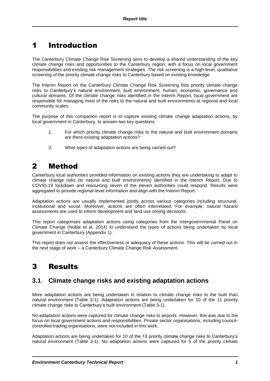## <span id="page-6-0"></span>1 Introduction

The Canterbury Climate Change Risk Screening aims to develop a shared understanding of the key climate change risks and opportunities to the Canterbury region, with a focus on local government responsibilities and existing risk management strategies. The risk screening is a high-level, qualitative screening of the priority climate change risks to Canterbury based on existing knowledge.

The Interim Report on the Canterbury Climate Change Risk Screening lists priority climate change risks to Canterbury's natural environment, built environment, human, economic, governance and cultural domains. Of the climate change risks identified in the Interim Report, local government are responsible for managing most of the risks to the natural and built environments at regional and local community scales.

The purpose of this companion report is to capture existing climate change adaptation actions, by local government in Canterbury, to answer two key questions.

- 1. For which priority climate change risks to the natural and built environment domains are there existing adaptation actions?
- 2. What types of adaptation actions are being carried out?

## <span id="page-6-1"></span>2 Method

Canterbury local authorities provided information on existing actions they are undertaking to adapt to climate change risks (to natural and built environments) identified in the Interim Report. Due to COVID-19 lockdown and resourcing seven of the eleven authorities could respond. Results were aggregated to provide regional-level information and align with the Interim Report.

Adaptation actions are usually implemented jointly across various categories including structural, institutional and social. Moreover, actions are often interrelated. For example, natural hazard assessments are used to inform development and land use zoning decisions.

This report categorises adaptation actions using categories from the Intergovernmental Panel on Climate Change (Noble et al. 2014) to understand the types of actions being undertaken by local government in Canterbury (Appendix 1).

This report does not assess the effectiveness or adequacy of these actions. This will be carried out in the next stage of work – a Canterbury Climate Change Risk Assessment.

## <span id="page-6-2"></span>3 Results

#### <span id="page-6-3"></span>**3.1 Climate change risks and existing adaptation actions**

More adaptation actions are being undertaken in relation to climate change risks to the built than natural environment (Table 3-1). Adaptation actions are being undertaken for 10 of the 11 priority climate change risks to Canterbury's built environment (Table 3-1).

No adaptation actions were captured for climate change risks to airports. However, this was due to the focus on local government actions and responsibilities. Private sector organisations, including councilcontrolled trading organisations, were not included in this work.

Adaptation actions are being undertaken for 10 of the 13 priority climate change risks to Canterbury's natural environment (Table 3-1). No adaptation actions were captured for 5 of the priority climate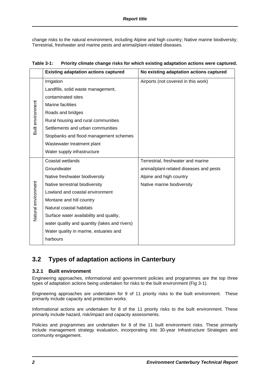change risks to the natural environment, including Alpine and high country; Native marine biodiversity; Terrestrial, freshwater and marine pests and animal/plant-related diseases.

<span id="page-7-1"></span>

| Table 3-1: Priority climate change risks for which existing adaptation actions were captured. |
|-----------------------------------------------------------------------------------------------|
|-----------------------------------------------------------------------------------------------|

|                     | <b>Existing adaptation actions captured</b>   | No existing adaptation actions captured |
|---------------------|-----------------------------------------------|-----------------------------------------|
| Built environment   | Irrigation                                    | Airports (not covered in this work)     |
|                     | Landfills, solid waste management,            |                                         |
|                     | contaminated sites                            |                                         |
|                     | Marine facilities                             |                                         |
|                     | Roads and bridges                             |                                         |
|                     | Rural housing and rural communities           |                                         |
|                     | Settlements and urban communities             |                                         |
|                     | Stopbanks and flood management schemes        |                                         |
|                     | Wastewater treatment plant                    |                                         |
|                     | Water supply infrastructure                   |                                         |
|                     | Coastal wetlands                              | Terrestrial, freshwater and marine      |
|                     | Groundwater                                   | animal/plant-related diseases and pests |
|                     | Native freshwater biodiversity                | Alpine and high country                 |
| Natural environment | Native terrestrial biodiversity               | Native marine biodiversity              |
|                     | Lowland and coastal environment               |                                         |
|                     | Montane and hill country                      |                                         |
|                     | Natural coastal habitats                      |                                         |
|                     | Surface water availability and quality,       |                                         |
|                     | water quality and quantity (lakes and rivers) |                                         |
|                     | Water quality in marine, estuaries and        |                                         |
|                     | harbours                                      |                                         |

#### <span id="page-7-0"></span>**3.2 Types of adaptation actions in Canterbury**

#### **3.2.1 Built environment**

Engineering approaches, informational and government policies and programmes are the top three types of adaptation actions being undertaken for risks to the built environment (Fig 3-1).

Engineering approaches are undertaken for 9 of 11 priority risks to the built environment. These primarily include capacity and protection works.

Informational actions are undertaken for 8 of the 11 priority risks to the built environment. These primarily include hazard, risk/impact and capacity assessments.

Policies and programmes are undertaken for 8 of the 11 built environment risks. These primarily include management strategy evaluation, incorporating into 30-year Infrastructure Strategies and community engagement.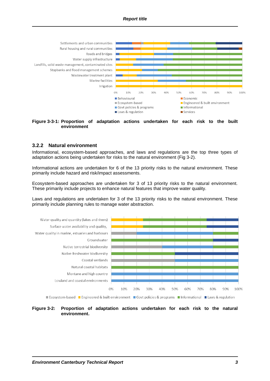

<span id="page-8-0"></span>

#### **3.2.2 Natural environment**

Informational, ecosystem-based approaches, and laws and regulations are the top three types of adaptation actions being undertaken for risks to the natural environment (Fig 3-2).

Informational actions are undertaken for 6 of the 13 priority risks to the natural environment. These primarily include hazard and risk/impact assessments.

Ecosystem-based approaches are undertaken for 3 of 13 priority risks to the natural environment. These primarily include projects to enhance natural features that improve water quality.

Laws and regulations are undertaken for 3 of the 13 priority risks to the natural environment. These primarily include planning rules to manage water abstraction.



Ecosystem-based Engineered & built environment Govt policies & programs Informational Elaws & regulation

<span id="page-8-1"></span>**Figure 3-2: Proportion of adaptation actions undertaken for each risk to the natural environment.**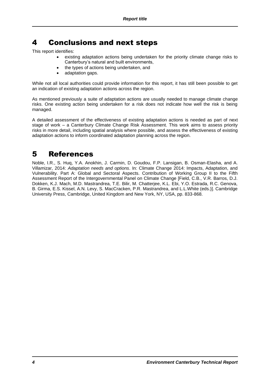## <span id="page-9-0"></span>4 Conclusions and next steps

This report identifies:

- existing adaptation actions being undertaken for the priority climate change risks to Canterbury's natural and built environments,
- the types of actions being undertaken, and
- adaptation gaps.

While not all local authorities could provide information for this report, it has still been possible to get an indication of existing adaptation actions across the region.

As mentioned previously a suite of adaptation actions are usually needed to manage climate change risks. One existing action being undertaken for a risk does not indicate how well the risk is being managed.

A detailed assessment of the effectiveness of existing adaptation actions is needed as part of next stage of work – a Canterbury Climate Change Risk Assessment. This work aims to assess priority risks in more detail, including spatial analysis where possible, and assess the effectiveness of existing adaptation actions to inform coordinated adaptation planning across the region.

#### <span id="page-9-1"></span>5 References

Noble, I.R., S. Huq, Y.A. Anokhin, J. Carmin, D. Goudou, F.P. Lansigan, B. Osman-Elasha, and A. Villamizar, 2014: *Adaptation needs and options*. In: Climate Change 2014: Impacts, Adaptation, and Vulnerability. Part A: Global and Sectoral Aspects. Contribution of Working Group II to the Fifth Assessment Report of the Intergovernmental Panel on Climate Change [Field, C.B., V.R. Barros, D.J. Dokken, K.J. Mach, M.D. Mastrandrea, T.E. Bilir, M. Chatterjee, K.L. Ebi, Y.O. Estrada, R.C. Genova, B. Girma, E.S. Kissel, A.N. Levy, S. MacCracken, P.R. Mastrandrea, and L.L.White (eds.)]. Cambridge University Press, Cambridge, United Kingdom and New York, NY, USA, pp. 833-868.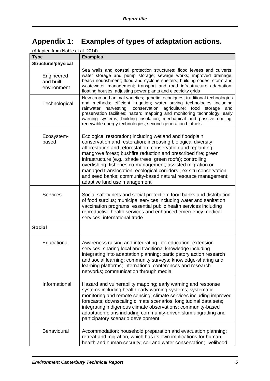# <span id="page-10-0"></span>**Appendix 1: Examples of types of adaptation actions.**

| (Adapted from Noble et al. 2014).      |                                                                                                                                                                                                                                                                                                                                                                                                                                                                                                                                                                   |  |  |
|----------------------------------------|-------------------------------------------------------------------------------------------------------------------------------------------------------------------------------------------------------------------------------------------------------------------------------------------------------------------------------------------------------------------------------------------------------------------------------------------------------------------------------------------------------------------------------------------------------------------|--|--|
| <b>Type</b>                            | <b>Examples</b>                                                                                                                                                                                                                                                                                                                                                                                                                                                                                                                                                   |  |  |
| <b>Structural/physical</b>             |                                                                                                                                                                                                                                                                                                                                                                                                                                                                                                                                                                   |  |  |
| Engineered<br>and built<br>environment | Sea walls and coastal protection structures; flood levees and culverts;<br>water storage and pump storage; sewage works; improved drainage;<br>beach nourishment; flood and cyclone shelters; building codes; storm and<br>wastewater management; transport and road infrastructure adaptation;<br>floating houses; adjusting power plants and electricity grids                                                                                                                                                                                                  |  |  |
| Technological                          | New crop and animal varieties; genetic techniques; traditional technologies<br>and methods; efficient irrigation; water saving technologies including<br>rainwater harvesting; conservation<br>agriculture; food<br>storage<br>and<br>preservation facilities; hazard mapping and monitoring technology; early<br>warning systems; building insulation; mechanical and passive cooling;<br>renewable energy technologies; second-generation biofuels.                                                                                                             |  |  |
| Ecosystem-<br>based                    | Ecological restoration) including wetland and floodplain<br>conservation and restoration; increasing biological diversity;<br>afforestation and reforestation; conservation and replanting<br>mangrove forest; bushfire reduction and prescribed fire; green<br>infrastructure (e.g., shade trees, green roofs); controlling<br>overfishing; fisheries co-management; assisted migration or<br>managed translocation; ecological corridors ; ex situ conservation<br>and seed banks; community-based natural resource management;<br>adaptive land use management |  |  |
| <b>Services</b>                        | Social safety nets and social protection; food banks and distribution<br>of food surplus; municipal services including water and sanitation<br>vaccination programs, essential public health services including<br>reproductive health services and enhanced emergency medical<br>services; international trade                                                                                                                                                                                                                                                   |  |  |
| <b>Social</b>                          |                                                                                                                                                                                                                                                                                                                                                                                                                                                                                                                                                                   |  |  |
| Educational                            | Awareness raising and integrating into education; extension<br>services; sharing local and traditional knowledge including<br>integrating into adaptation planning; participatory action research<br>and social learning; community surveys; knowledge-sharing and<br>learning platforms; international conferences and research<br>networks; communication through media                                                                                                                                                                                         |  |  |
| Informational                          | Hazard and vulnerability mapping; early warning and response<br>systems including health early warning systems; systematic<br>monitoring and remote sensing; climate services including improved<br>forecasts; downscaling climate scenarios; longitudinal data sets;<br>integrating indigenous climate observations; community-based<br>adaptation plans including community-driven slum upgrading and<br>participatory scenario development                                                                                                                     |  |  |
| Behavioural                            | Accommodation; household preparation and evacuation planning;<br>retreat and migration, which has its own implications for human<br>health and human security; soil and water conservation; livelihood                                                                                                                                                                                                                                                                                                                                                            |  |  |